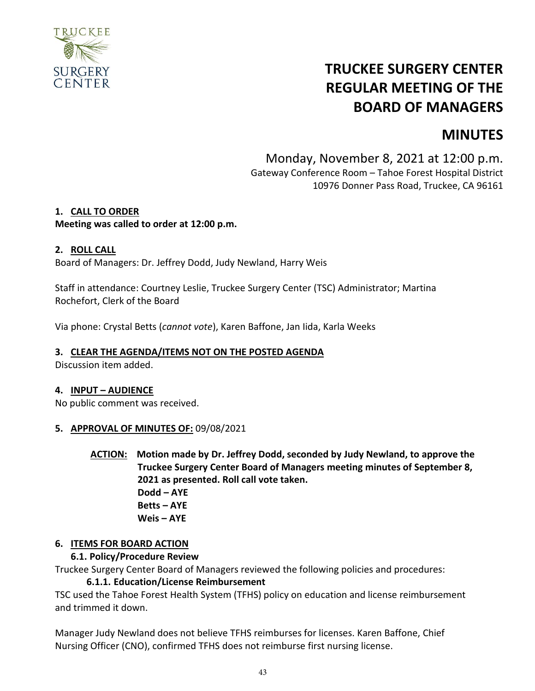

# **TRUCKEE SURGERY CENTER REGULAR MEETING OF THE BOARD OF MANAGERS**

# **MINUTES**

Monday, November 8, 2021 at 12:00 p.m. Gateway Conference Room – Tahoe Forest Hospital District 10976 Donner Pass Road, Truckee, CA 96161

### **1. CALL TO ORDER**

### **Meeting was called to order at 12:00 p.m.**

#### **2. ROLL CALL**

Board of Managers: Dr. Jeffrey Dodd, Judy Newland, Harry Weis

Staff in attendance: Courtney Leslie, Truckee Surgery Center (TSC) Administrator; Martina Rochefort, Clerk of the Board

Via phone: Crystal Betts (*cannot vote*), Karen Baffone, Jan Iida, Karla Weeks

#### **3. CLEAR THE AGENDA/ITEMS NOT ON THE POSTED AGENDA**

Discussion item added.

#### **4. INPUT – AUDIENCE**

No public comment was received.

#### **5. APPROVAL OF MINUTES OF:** 09/08/2021

**ACTION: Motion made by Dr. Jeffrey Dodd, seconded by Judy Newland, to approve the Truckee Surgery Center Board of Managers meeting minutes of September 8, 2021 as presented. Roll call vote taken. Dodd – AYE Betts – AYE**

**Weis – AYE**

### **6. ITEMS FOR BOARD ACTION**

#### **6.1. Policy/Procedure Review**

Truckee Surgery Center Board of Managers reviewed the following policies and procedures:

#### **6.1.1. Education/License Reimbursement**

TSC used the Tahoe Forest Health System (TFHS) policy on education and license reimbursement and trimmed it down.

Manager Judy Newland does not believe TFHS reimburses for licenses. Karen Baffone, Chief Nursing Officer (CNO), confirmed TFHS does not reimburse first nursing license.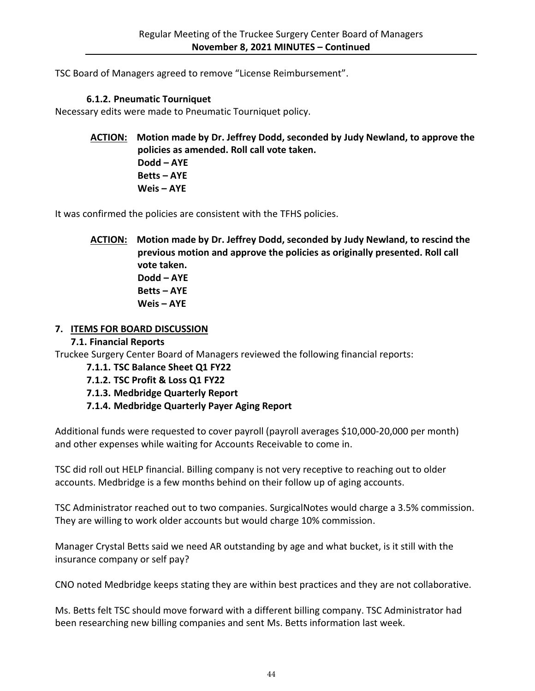TSC Board of Managers agreed to remove "License Reimbursement".

### **6.1.2. Pneumatic Tourniquet**

Necessary edits were made to Pneumatic Tourniquet policy.

**ACTION: Motion made by Dr. Jeffrey Dodd, seconded by Judy Newland, to approve the policies as amended. Roll call vote taken. Dodd – AYE Betts – AYE Weis – AYE**

It was confirmed the policies are consistent with the TFHS policies.

**ACTION: Motion made by Dr. Jeffrey Dodd, seconded by Judy Newland, to rescind the previous motion and approve the policies as originally presented. Roll call vote taken. Dodd – AYE Betts – AYE Weis – AYE**

### **7. ITEMS FOR BOARD DISCUSSION**

### **7.1. Financial Reports**

Truckee Surgery Center Board of Managers reviewed the following financial reports:

### **7.1.1. TSC Balance Sheet Q1 FY22**

### **7.1.2. TSC Profit & Loss Q1 FY22**

**7.1.3. Medbridge Quarterly Report**

# **7.1.4. Medbridge Quarterly Payer Aging Report**

Additional funds were requested to cover payroll (payroll averages \$10,000-20,000 per month) and other expenses while waiting for Accounts Receivable to come in.

TSC did roll out HELP financial. Billing company is not very receptive to reaching out to older accounts. Medbridge is a few months behind on their follow up of aging accounts.

TSC Administrator reached out to two companies. SurgicalNotes would charge a 3.5% commission. They are willing to work older accounts but would charge 10% commission.

Manager Crystal Betts said we need AR outstanding by age and what bucket, is it still with the insurance company or self pay?

CNO noted Medbridge keeps stating they are within best practices and they are not collaborative.

Ms. Betts felt TSC should move forward with a different billing company. TSC Administrator had been researching new billing companies and sent Ms. Betts information last week.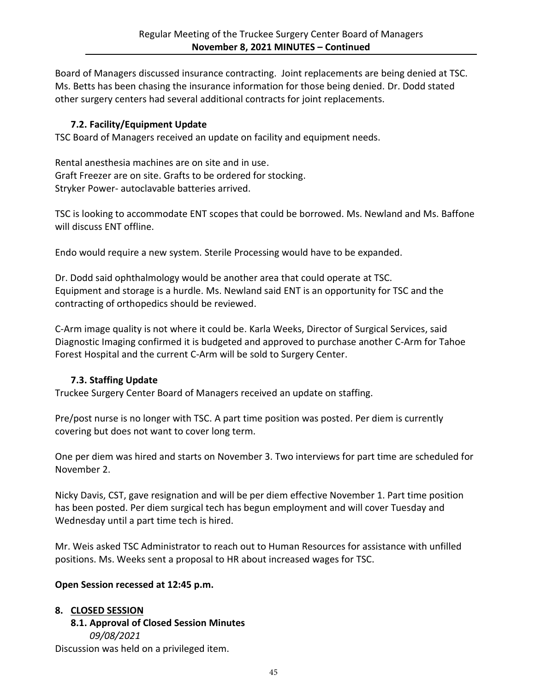Board of Managers discussed insurance contracting. Joint replacements are being denied at TSC. Ms. Betts has been chasing the insurance information for those being denied. Dr. Dodd stated other surgery centers had several additional contracts for joint replacements.

# **7.2. Facility/Equipment Update**

TSC Board of Managers received an update on facility and equipment needs.

Rental anesthesia machines are on site and in use. Graft Freezer are on site. Grafts to be ordered for stocking. Stryker Power- autoclavable batteries arrived.

TSC is looking to accommodate ENT scopes that could be borrowed. Ms. Newland and Ms. Baffone will discuss ENT offline.

Endo would require a new system. Sterile Processing would have to be expanded.

Dr. Dodd said ophthalmology would be another area that could operate at TSC. Equipment and storage is a hurdle. Ms. Newland said ENT is an opportunity for TSC and the contracting of orthopedics should be reviewed.

C-Arm image quality is not where it could be. Karla Weeks, Director of Surgical Services, said Diagnostic Imaging confirmed it is budgeted and approved to purchase another C-Arm for Tahoe Forest Hospital and the current C-Arm will be sold to Surgery Center.

# **7.3. Staffing Update**

Truckee Surgery Center Board of Managers received an update on staffing.

Pre/post nurse is no longer with TSC. A part time position was posted. Per diem is currently covering but does not want to cover long term.

One per diem was hired and starts on November 3. Two interviews for part time are scheduled for November 2.

Nicky Davis, CST, gave resignation and will be per diem effective November 1. Part time position has been posted. Per diem surgical tech has begun employment and will cover Tuesday and Wednesday until a part time tech is hired.

Mr. Weis asked TSC Administrator to reach out to Human Resources for assistance with unfilled positions. Ms. Weeks sent a proposal to HR about increased wages for TSC.

### **Open Session recessed at 12:45 p.m.**

### **8. CLOSED SESSION**

**8.1. Approval of Closed Session Minutes** *09/08/2021*

Discussion was held on a privileged item.